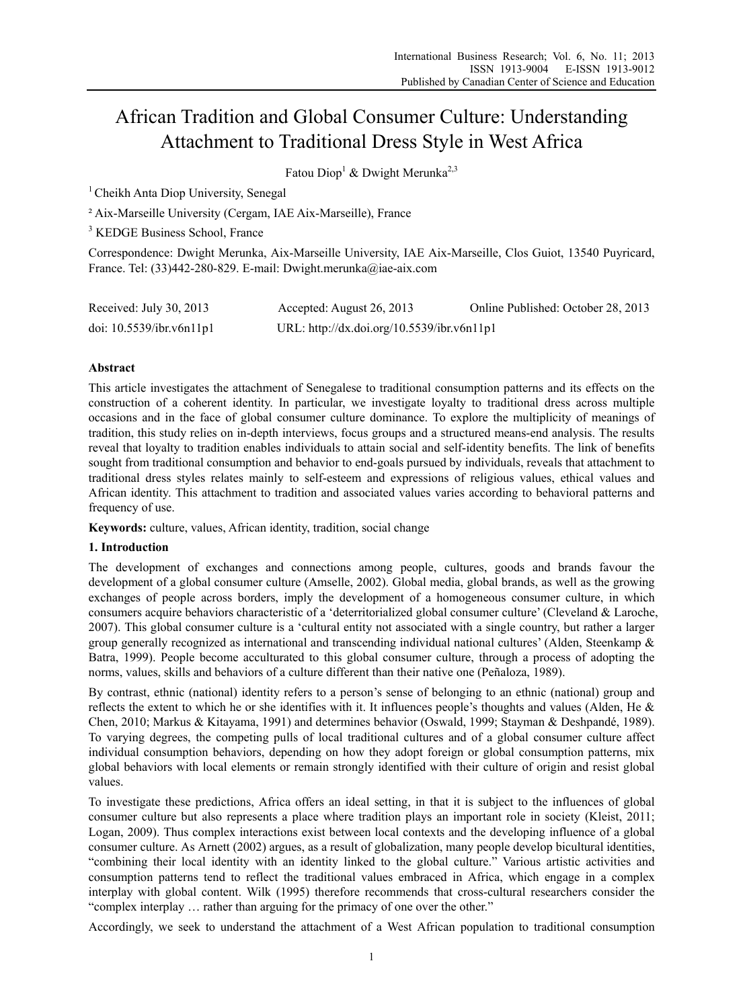# African Tradition and Global Consumer Culture: Understanding Attachment to Traditional Dress Style in West Africa

Fatou Diop<sup>1</sup> & Dwight Merunka<sup>2,3</sup>

<sup>1</sup> Cheikh Anta Diop University, Senegal

² Aix-Marseille University (Cergam, IAE Aix-Marseille), France

<sup>3</sup> KEDGE Business School, France

Correspondence: Dwight Merunka, Aix-Marseille University, IAE Aix-Marseille, Clos Guiot, 13540 Puyricard, France. Tel: (33)442-280-829. E-mail: Dwight.merunka@iae-aix.com

| Received: July 30, 2013     | Accepted: August 26, 2013                  | Online Published: October 28, 2013 |
|-----------------------------|--------------------------------------------|------------------------------------|
| doi: $10.5539$ /ibr.v6n11p1 | URL: http://dx.doi.org/10.5539/ibr.v6n11p1 |                                    |

# **Abstract**

This article investigates the attachment of Senegalese to traditional consumption patterns and its effects on the construction of a coherent identity. In particular, we investigate loyalty to traditional dress across multiple occasions and in the face of global consumer culture dominance. To explore the multiplicity of meanings of tradition, this study relies on in-depth interviews, focus groups and a structured means-end analysis. The results reveal that loyalty to tradition enables individuals to attain social and self-identity benefits. The link of benefits sought from traditional consumption and behavior to end-goals pursued by individuals, reveals that attachment to traditional dress styles relates mainly to self-esteem and expressions of religious values, ethical values and African identity. This attachment to tradition and associated values varies according to behavioral patterns and frequency of use.

**Keywords:** culture, values, African identity, tradition, social change

## **1. Introduction**

The development of exchanges and connections among people, cultures, goods and brands favour the development of a global consumer culture (Amselle, 2002). Global media, global brands, as well as the growing exchanges of people across borders, imply the development of a homogeneous consumer culture, in which consumers acquire behaviors characteristic of a 'deterritorialized global consumer culture' (Cleveland & Laroche, 2007). This global consumer culture is a 'cultural entity not associated with a single country, but rather a larger group generally recognized as international and transcending individual national cultures' (Alden, Steenkamp & Batra, 1999). People become acculturated to this global consumer culture, through a process of adopting the norms, values, skills and behaviors of a culture different than their native one (Peñaloza, 1989).

By contrast, ethnic (national) identity refers to a person's sense of belonging to an ethnic (national) group and reflects the extent to which he or she identifies with it. It influences people's thoughts and values (Alden, He & Chen, 2010; Markus & Kitayama, 1991) and determines behavior (Oswald, 1999; Stayman & Deshpandé, 1989). To varying degrees, the competing pulls of local traditional cultures and of a global consumer culture affect individual consumption behaviors, depending on how they adopt foreign or global consumption patterns, mix global behaviors with local elements or remain strongly identified with their culture of origin and resist global values.

To investigate these predictions, Africa offers an ideal setting, in that it is subject to the influences of global consumer culture but also represents a place where tradition plays an important role in society (Kleist, 2011; Logan, 2009). Thus complex interactions exist between local contexts and the developing influence of a global consumer culture. As Arnett (2002) argues, as a result of globalization, many people develop bicultural identities, "combining their local identity with an identity linked to the global culture." Various artistic activities and consumption patterns tend to reflect the traditional values embraced in Africa, which engage in a complex interplay with global content. Wilk (1995) therefore recommends that cross-cultural researchers consider the "complex interplay … rather than arguing for the primacy of one over the other."

Accordingly, we seek to understand the attachment of a West African population to traditional consumption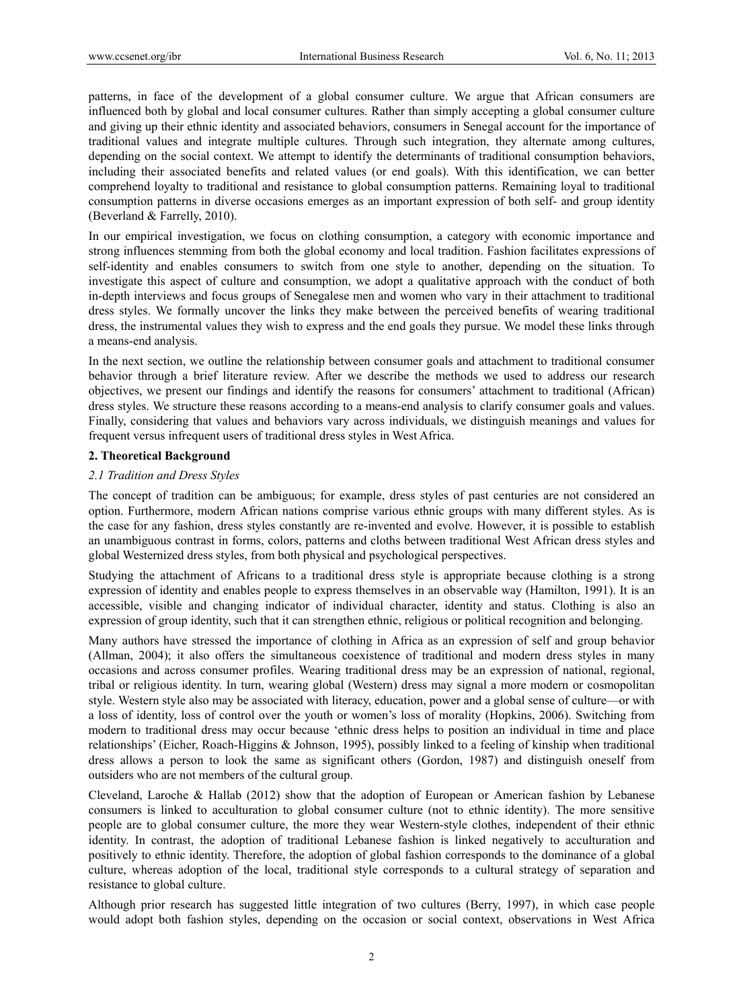patterns, in face of the development of a global consumer culture. We argue that African consumers are influenced both by global and local consumer cultures. Rather than simply accepting a global consumer culture and giving up their ethnic identity and associated behaviors, consumers in Senegal account for the importance of traditional values and integrate multiple cultures. Through such integration, they alternate among cultures, depending on the social context. We attempt to identify the determinants of traditional consumption behaviors, including their associated benefits and related values (or end goals). With this identification, we can better comprehend loyalty to traditional and resistance to global consumption patterns. Remaining loyal to traditional consumption patterns in diverse occasions emerges as an important expression of both self- and group identity (Beverland & Farrelly, 2010).

In our empirical investigation, we focus on clothing consumption, a category with economic importance and strong influences stemming from both the global economy and local tradition. Fashion facilitates expressions of self-identity and enables consumers to switch from one style to another, depending on the situation. To investigate this aspect of culture and consumption, we adopt a qualitative approach with the conduct of both in-depth interviews and focus groups of Senegalese men and women who vary in their attachment to traditional dress styles. We formally uncover the links they make between the perceived benefits of wearing traditional dress, the instrumental values they wish to express and the end goals they pursue. We model these links through a means-end analysis.

In the next section, we outline the relationship between consumer goals and attachment to traditional consumer behavior through a brief literature review. After we describe the methods we used to address our research objectives, we present our findings and identify the reasons for consumers' attachment to traditional (African) dress styles. We structure these reasons according to a means-end analysis to clarify consumer goals and values. Finally, considering that values and behaviors vary across individuals, we distinguish meanings and values for frequent versus infrequent users of traditional dress styles in West Africa.

# **2. Theoretical Background**

# *2.1 Tradition and Dress Styles*

The concept of tradition can be ambiguous; for example, dress styles of past centuries are not considered an option. Furthermore, modern African nations comprise various ethnic groups with many different styles. As is the case for any fashion, dress styles constantly are re-invented and evolve. However, it is possible to establish an unambiguous contrast in forms, colors, patterns and cloths between traditional West African dress styles and global Westernized dress styles, from both physical and psychological perspectives.

Studying the attachment of Africans to a traditional dress style is appropriate because clothing is a strong expression of identity and enables people to express themselves in an observable way (Hamilton, 1991). It is an accessible, visible and changing indicator of individual character, identity and status. Clothing is also an expression of group identity, such that it can strengthen ethnic, religious or political recognition and belonging.

Many authors have stressed the importance of clothing in Africa as an expression of self and group behavior (Allman, 2004); it also offers the simultaneous coexistence of traditional and modern dress styles in many occasions and across consumer profiles. Wearing traditional dress may be an expression of national, regional, tribal or religious identity. In turn, wearing global (Western) dress may signal a more modern or cosmopolitan style. Western style also may be associated with literacy, education, power and a global sense of culture—or with a loss of identity, loss of control over the youth or women's loss of morality (Hopkins, 2006). Switching from modern to traditional dress may occur because 'ethnic dress helps to position an individual in time and place relationships' (Eicher, Roach-Higgins & Johnson, 1995), possibly linked to a feeling of kinship when traditional dress allows a person to look the same as significant others (Gordon, 1987) and distinguish oneself from outsiders who are not members of the cultural group.

Cleveland, Laroche & Hallab (2012) show that the adoption of European or American fashion by Lebanese consumers is linked to acculturation to global consumer culture (not to ethnic identity). The more sensitive people are to global consumer culture, the more they wear Western-style clothes, independent of their ethnic identity. In contrast, the adoption of traditional Lebanese fashion is linked negatively to acculturation and positively to ethnic identity. Therefore, the adoption of global fashion corresponds to the dominance of a global culture, whereas adoption of the local, traditional style corresponds to a cultural strategy of separation and resistance to global culture.

Although prior research has suggested little integration of two cultures (Berry, 1997), in which case people would adopt both fashion styles, depending on the occasion or social context, observations in West Africa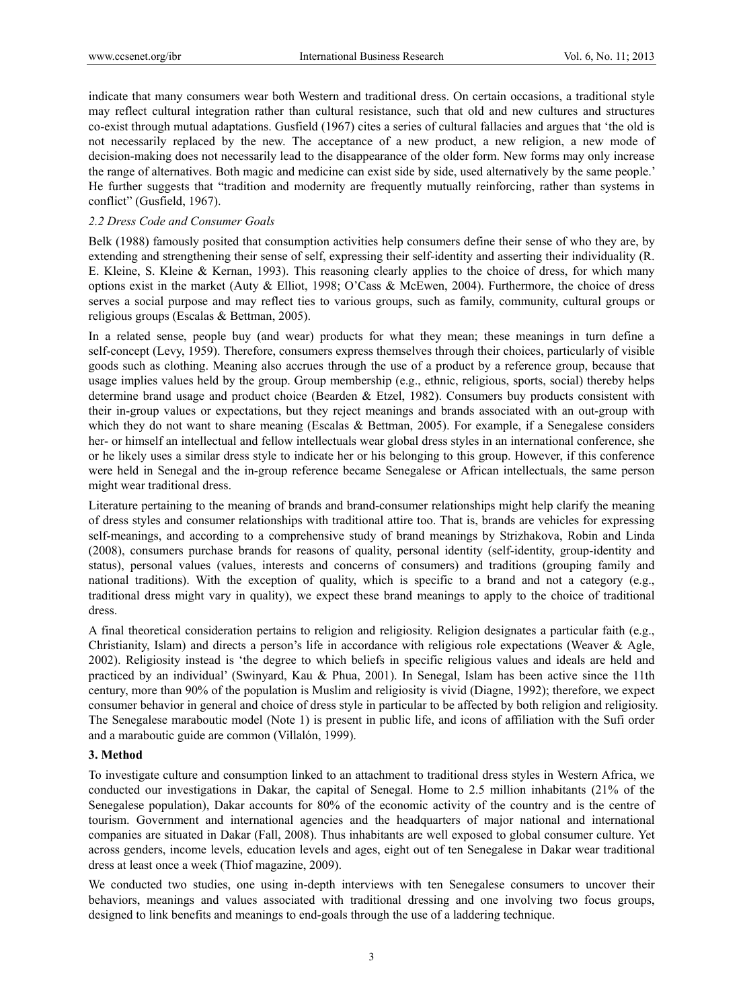indicate that many consumers wear both Western and traditional dress. On certain occasions, a traditional style may reflect cultural integration rather than cultural resistance, such that old and new cultures and structures co-exist through mutual adaptations. Gusfield (1967) cites a series of cultural fallacies and argues that 'the old is not necessarily replaced by the new. The acceptance of a new product, a new religion, a new mode of decision-making does not necessarily lead to the disappearance of the older form. New forms may only increase the range of alternatives. Both magic and medicine can exist side by side, used alternatively by the same people.' He further suggests that "tradition and modernity are frequently mutually reinforcing, rather than systems in conflict" (Gusfield, 1967).

# *2.2 Dress Code and Consumer Goals*

Belk (1988) famously posited that consumption activities help consumers define their sense of who they are, by extending and strengthening their sense of self, expressing their self-identity and asserting their individuality (R. E. Kleine, S. Kleine & Kernan, 1993). This reasoning clearly applies to the choice of dress, for which many options exist in the market (Auty & Elliot, 1998; O'Cass & McEwen, 2004). Furthermore, the choice of dress serves a social purpose and may reflect ties to various groups, such as family, community, cultural groups or religious groups (Escalas & Bettman, 2005).

In a related sense, people buy (and wear) products for what they mean; these meanings in turn define a self-concept (Levy, 1959). Therefore, consumers express themselves through their choices, particularly of visible goods such as clothing. Meaning also accrues through the use of a product by a reference group, because that usage implies values held by the group. Group membership (e.g., ethnic, religious, sports, social) thereby helps determine brand usage and product choice (Bearden & Etzel, 1982). Consumers buy products consistent with their in-group values or expectations, but they reject meanings and brands associated with an out-group with which they do not want to share meaning (Escalas & Bettman, 2005). For example, if a Senegalese considers her- or himself an intellectual and fellow intellectuals wear global dress styles in an international conference, she or he likely uses a similar dress style to indicate her or his belonging to this group. However, if this conference were held in Senegal and the in-group reference became Senegalese or African intellectuals, the same person might wear traditional dress.

Literature pertaining to the meaning of brands and brand-consumer relationships might help clarify the meaning of dress styles and consumer relationships with traditional attire too. That is, brands are vehicles for expressing self-meanings, and according to a comprehensive study of brand meanings by Strizhakova, Robin and Linda (2008), consumers purchase brands for reasons of quality, personal identity (self-identity, group-identity and status), personal values (values, interests and concerns of consumers) and traditions (grouping family and national traditions). With the exception of quality, which is specific to a brand and not a category (e.g., traditional dress might vary in quality), we expect these brand meanings to apply to the choice of traditional dress.

A final theoretical consideration pertains to religion and religiosity. Religion designates a particular faith (e.g., Christianity, Islam) and directs a person's life in accordance with religious role expectations (Weaver & Agle, 2002). Religiosity instead is 'the degree to which beliefs in specific religious values and ideals are held and practiced by an individual' (Swinyard, Kau & Phua, 2001). In Senegal, Islam has been active since the 11th century, more than 90% of the population is Muslim and religiosity is vivid (Diagne, 1992); therefore, we expect consumer behavior in general and choice of dress style in particular to be affected by both religion and religiosity. The Senegalese maraboutic model (Note 1) is present in public life, and icons of affiliation with the Sufi order and a maraboutic guide are common (Villalón, 1999).

## **3. Method**

To investigate culture and consumption linked to an attachment to traditional dress styles in Western Africa, we conducted our investigations in Dakar, the capital of Senegal. Home to 2.5 million inhabitants (21% of the Senegalese population), Dakar accounts for 80% of the economic activity of the country and is the centre of tourism. Government and international agencies and the headquarters of major national and international companies are situated in Dakar (Fall, 2008). Thus inhabitants are well exposed to global consumer culture. Yet across genders, income levels, education levels and ages, eight out of ten Senegalese in Dakar wear traditional dress at least once a week (Thiof magazine, 2009).

We conducted two studies, one using in-depth interviews with ten Senegalese consumers to uncover their behaviors, meanings and values associated with traditional dressing and one involving two focus groups, designed to link benefits and meanings to end-goals through the use of a laddering technique.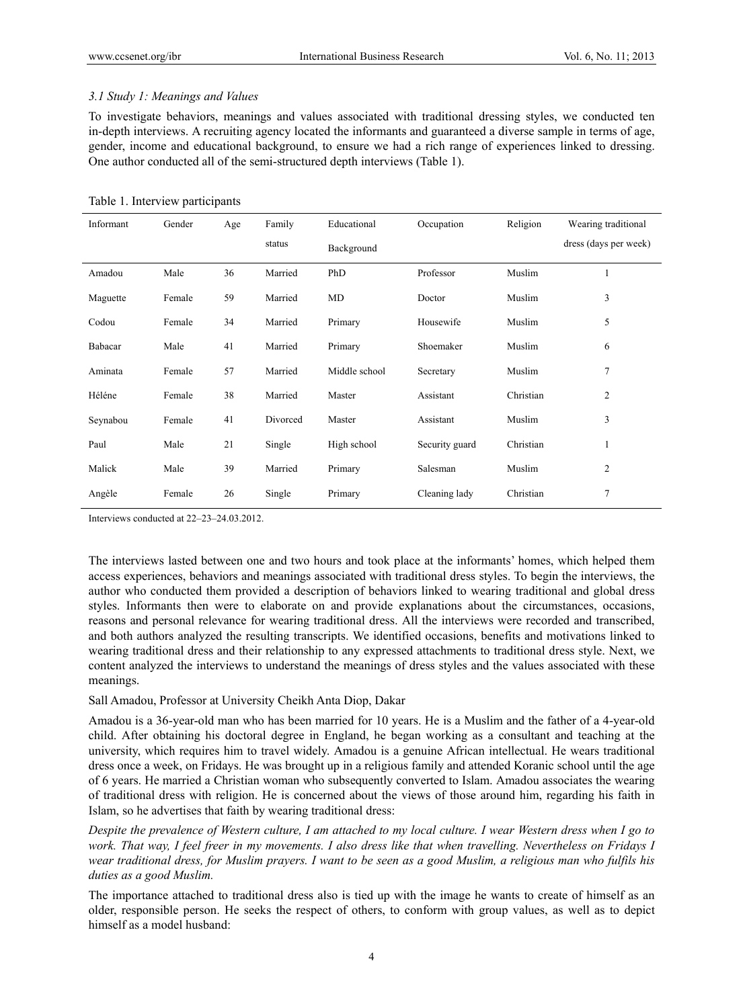# *3.1 Study 1: Meanings and Values*

To investigate behaviors, meanings and values associated with traditional dressing styles, we conducted ten in-depth interviews. A recruiting agency located the informants and guaranteed a diverse sample in terms of age, gender, income and educational background, to ensure we had a rich range of experiences linked to dressing. One author conducted all of the semi-structured depth interviews (Table 1).

## Table 1. Interview participants

| Informant | Gender | Age | Family   | Educational<br>Occupation |                | Religion  | Wearing traditional   |
|-----------|--------|-----|----------|---------------------------|----------------|-----------|-----------------------|
|           |        |     | status   | Background                |                |           | dress (days per week) |
| Amadou    | Male   | 36  | Married  | PhD                       | Professor      | Muslim    | $\mathbf{1}$          |
| Maguette  | Female | 59  | Married  | MD                        | Doctor         | Muslim    | 3                     |
| Codou     | Female | 34  | Married  | Primary<br>Housewife      |                | Muslim    | 5                     |
| Babacar   | Male   | 41  | Married  | Shoemaker<br>Primary      |                | Muslim    | 6                     |
| Aminata   | Female | 57  | Married  | Middle school             | Secretary      | Muslim    | $\overline{7}$        |
| Héléne    | Female | 38  | Married  | Master                    | Assistant      | Christian | $\overline{2}$        |
| Seynabou  | Female | 41  | Divorced | Master                    | Assistant      | Muslim    | 3                     |
| Paul      | Male   | 21  | Single   | High school               | Security guard | Christian | 1                     |
| Malick    | Male   | 39  | Married  | Primary                   | Salesman       | Muslim    | 2                     |
| Angèle    | Female | 26  | Single   | Primary                   | Cleaning lady  | Christian | $\tau$                |

Interviews conducted at 22–23–24.03.2012.

The interviews lasted between one and two hours and took place at the informants' homes, which helped them access experiences, behaviors and meanings associated with traditional dress styles. To begin the interviews, the author who conducted them provided a description of behaviors linked to wearing traditional and global dress styles. Informants then were to elaborate on and provide explanations about the circumstances, occasions, reasons and personal relevance for wearing traditional dress. All the interviews were recorded and transcribed, and both authors analyzed the resulting transcripts. We identified occasions, benefits and motivations linked to wearing traditional dress and their relationship to any expressed attachments to traditional dress style. Next, we content analyzed the interviews to understand the meanings of dress styles and the values associated with these meanings.

## Sall Amadou, Professor at University Cheikh Anta Diop, Dakar

Amadou is a 36-year-old man who has been married for 10 years. He is a Muslim and the father of a 4-year-old child. After obtaining his doctoral degree in England, he began working as a consultant and teaching at the university, which requires him to travel widely. Amadou is a genuine African intellectual. He wears traditional dress once a week, on Fridays. He was brought up in a religious family and attended Koranic school until the age of 6 years. He married a Christian woman who subsequently converted to Islam. Amadou associates the wearing of traditional dress with religion. He is concerned about the views of those around him, regarding his faith in Islam, so he advertises that faith by wearing traditional dress:

*Despite the prevalence of Western culture, I am attached to my local culture. I wear Western dress when I go to work. That way, I feel freer in my movements. I also dress like that when travelling. Nevertheless on Fridays I wear traditional dress, for Muslim prayers. I want to be seen as a good Muslim, a religious man who fulfils his duties as a good Muslim.* 

The importance attached to traditional dress also is tied up with the image he wants to create of himself as an older, responsible person. He seeks the respect of others, to conform with group values, as well as to depict himself as a model husband: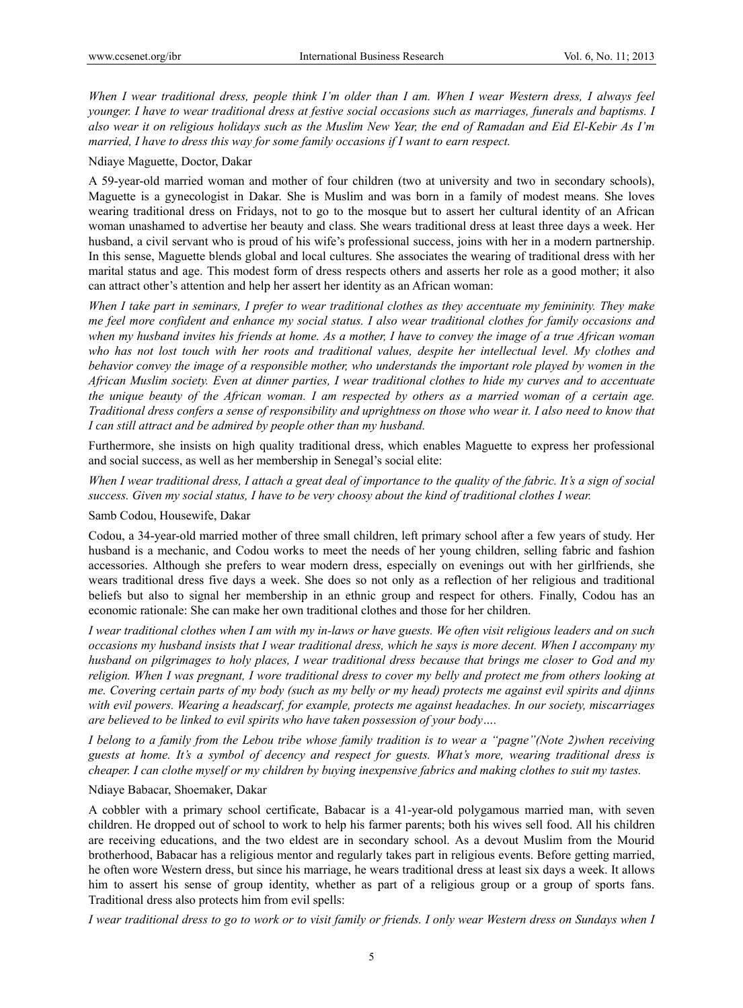*When I wear traditional dress, people think I'm older than I am. When I wear Western dress, I always feel younger. I have to wear traditional dress at festive social occasions such as marriages, funerals and baptisms. I also wear it on religious holidays such as the Muslim New Year, the end of Ramadan and Eid El-Kebir As I'm married, I have to dress this way for some family occasions if I want to earn respect.* 

### Ndiaye Maguette, Doctor, Dakar

A 59-year-old married woman and mother of four children (two at university and two in secondary schools), Maguette is a gynecologist in Dakar. She is Muslim and was born in a family of modest means. She loves wearing traditional dress on Fridays, not to go to the mosque but to assert her cultural identity of an African woman unashamed to advertise her beauty and class. She wears traditional dress at least three days a week. Her husband, a civil servant who is proud of his wife's professional success, joins with her in a modern partnership. In this sense, Maguette blends global and local cultures. She associates the wearing of traditional dress with her marital status and age. This modest form of dress respects others and asserts her role as a good mother; it also can attract other's attention and help her assert her identity as an African woman:

*When I take part in seminars, I prefer to wear traditional clothes as they accentuate my femininity. They make me feel more confident and enhance my social status. I also wear traditional clothes for family occasions and when my husband invites his friends at home. As a mother, I have to convey the image of a true African woman who has not lost touch with her roots and traditional values, despite her intellectual level. My clothes and behavior convey the image of a responsible mother, who understands the important role played by women in the African Muslim society. Even at dinner parties, I wear traditional clothes to hide my curves and to accentuate the unique beauty of the African woman. I am respected by others as a married woman of a certain age. Traditional dress confers a sense of responsibility and uprightness on those who wear it. I also need to know that I can still attract and be admired by people other than my husband.* 

Furthermore, she insists on high quality traditional dress, which enables Maguette to express her professional and social success, as well as her membership in Senegal's social elite:

*When I wear traditional dress, I attach a great deal of importance to the quality of the fabric. It's a sign of social success. Given my social status, I have to be very choosy about the kind of traditional clothes I wear.* 

Samb Codou, Housewife, Dakar

Codou, a 34-year-old married mother of three small children, left primary school after a few years of study. Her husband is a mechanic, and Codou works to meet the needs of her young children, selling fabric and fashion accessories. Although she prefers to wear modern dress, especially on evenings out with her girlfriends, she wears traditional dress five days a week. She does so not only as a reflection of her religious and traditional beliefs but also to signal her membership in an ethnic group and respect for others. Finally, Codou has an economic rationale: She can make her own traditional clothes and those for her children.

*I wear traditional clothes when I am with my in-laws or have guests. We often visit religious leaders and on such occasions my husband insists that I wear traditional dress, which he says is more decent. When I accompany my husband on pilgrimages to holy places, I wear traditional dress because that brings me closer to God and my religion. When I was pregnant, I wore traditional dress to cover my belly and protect me from others looking at me. Covering certain parts of my body (such as my belly or my head) protects me against evil spirits and djinns with evil powers. Wearing a headscarf, for example, protects me against headaches. In our society, miscarriages are believed to be linked to evil spirits who have taken possession of your body….* 

*I belong to a family from the Lebou tribe whose family tradition is to wear a "pagne"(Note 2)when receiving guests at home. It's a symbol of decency and respect for guests. What's more, wearing traditional dress is cheaper. I can clothe myself or my children by buying inexpensive fabrics and making clothes to suit my tastes.* 

#### Ndiaye Babacar, Shoemaker, Dakar

A cobbler with a primary school certificate, Babacar is a 41-year-old polygamous married man, with seven children. He dropped out of school to work to help his farmer parents; both his wives sell food. All his children are receiving educations, and the two eldest are in secondary school. As a devout Muslim from the Mourid brotherhood, Babacar has a religious mentor and regularly takes part in religious events. Before getting married, he often wore Western dress, but since his marriage, he wears traditional dress at least six days a week. It allows him to assert his sense of group identity, whether as part of a religious group or a group of sports fans. Traditional dress also protects him from evil spells:

*I wear traditional dress to go to work or to visit family or friends. I only wear Western dress on Sundays when I*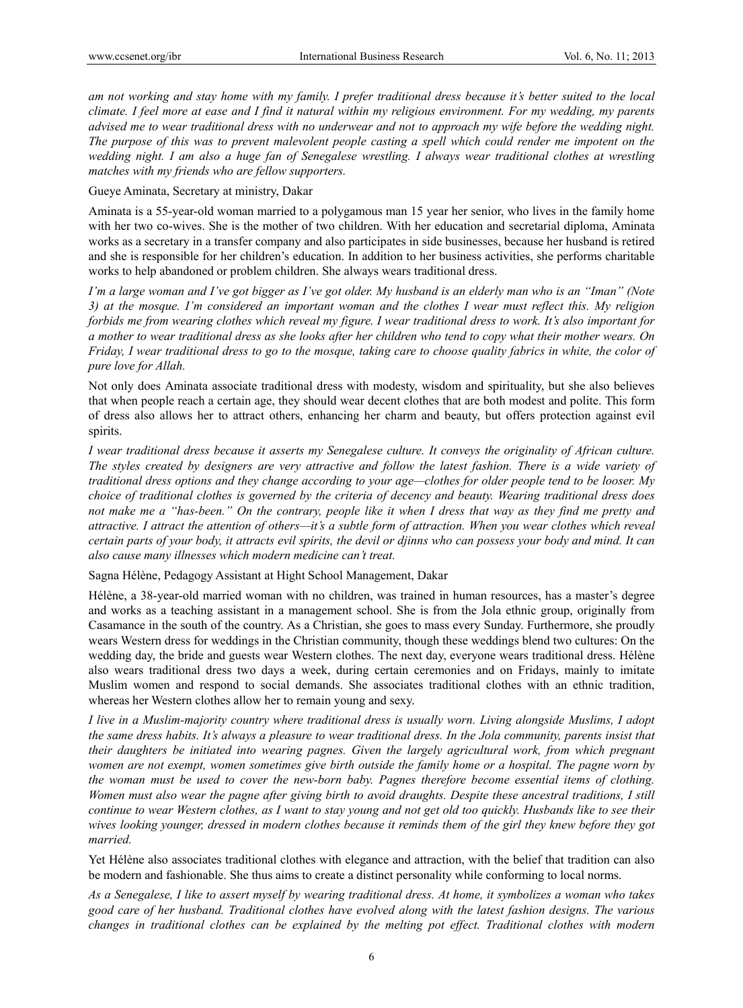*am not working and stay home with my family. I prefer traditional dress because it's better suited to the local climate. I feel more at ease and I find it natural within my religious environment. For my wedding, my parents advised me to wear traditional dress with no underwear and not to approach my wife before the wedding night. The purpose of this was to prevent malevolent people casting a spell which could render me impotent on the wedding night. I am also a huge fan of Senegalese wrestling. I always wear traditional clothes at wrestling matches with my friends who are fellow supporters.* 

Gueye Aminata, Secretary at ministry, Dakar

Aminata is a 55-year-old woman married to a polygamous man 15 year her senior, who lives in the family home with her two co-wives. She is the mother of two children. With her education and secretarial diploma, Aminata works as a secretary in a transfer company and also participates in side businesses, because her husband is retired and she is responsible for her children's education. In addition to her business activities, she performs charitable works to help abandoned or problem children. She always wears traditional dress.

*I'm a large woman and I've got bigger as I've got older. My husband is an elderly man who is an "Iman" (Note 3) at the mosque. I'm considered an important woman and the clothes I wear must reflect this. My religion forbids me from wearing clothes which reveal my figure. I wear traditional dress to work. It's also important for a mother to wear traditional dress as she looks after her children who tend to copy what their mother wears. On Friday, I wear traditional dress to go to the mosque, taking care to choose quality fabrics in white, the color of pure love for Allah.* 

Not only does Aminata associate traditional dress with modesty, wisdom and spirituality, but she also believes that when people reach a certain age, they should wear decent clothes that are both modest and polite. This form of dress also allows her to attract others, enhancing her charm and beauty, but offers protection against evil spirits.

*I wear traditional dress because it asserts my Senegalese culture. It conveys the originality of African culture. The styles created by designers are very attractive and follow the latest fashion. There is a wide variety of traditional dress options and they change according to your age—clothes for older people tend to be looser. My choice of traditional clothes is governed by the criteria of decency and beauty. Wearing traditional dress does not make me a "has-been." On the contrary, people like it when I dress that way as they find me pretty and attractive. I attract the attention of others—it's a subtle form of attraction. When you wear clothes which reveal certain parts of your body, it attracts evil spirits, the devil or djinns who can possess your body and mind. It can also cause many illnesses which modern medicine can't treat.* 

Sagna Hélène, Pedagogy Assistant at Hight School Management, Dakar

Hélène, a 38-year-old married woman with no children, was trained in human resources, has a master's degree and works as a teaching assistant in a management school. She is from the Jola ethnic group, originally from Casamance in the south of the country. As a Christian, she goes to mass every Sunday. Furthermore, she proudly wears Western dress for weddings in the Christian community, though these weddings blend two cultures: On the wedding day, the bride and guests wear Western clothes. The next day, everyone wears traditional dress. Hélène also wears traditional dress two days a week, during certain ceremonies and on Fridays, mainly to imitate Muslim women and respond to social demands. She associates traditional clothes with an ethnic tradition, whereas her Western clothes allow her to remain young and sexy.

*I live in a Muslim-majority country where traditional dress is usually worn. Living alongside Muslims, I adopt the same dress habits. It's always a pleasure to wear traditional dress. In the Jola community, parents insist that their daughters be initiated into wearing pagnes. Given the largely agricultural work, from which pregnant women are not exempt, women sometimes give birth outside the family home or a hospital. The pagne worn by the woman must be used to cover the new-born baby. Pagnes therefore become essential items of clothing. Women must also wear the pagne after giving birth to avoid draughts. Despite these ancestral traditions, I still continue to wear Western clothes, as I want to stay young and not get old too quickly. Husbands like to see their wives looking younger, dressed in modern clothes because it reminds them of the girl they knew before they got married.* 

Yet Hélène also associates traditional clothes with elegance and attraction, with the belief that tradition can also be modern and fashionable. She thus aims to create a distinct personality while conforming to local norms.

*As a Senegalese, I like to assert myself by wearing traditional dress. At home, it symbolizes a woman who takes good care of her husband. Traditional clothes have evolved along with the latest fashion designs. The various changes in traditional clothes can be explained by the melting pot effect. Traditional clothes with modern*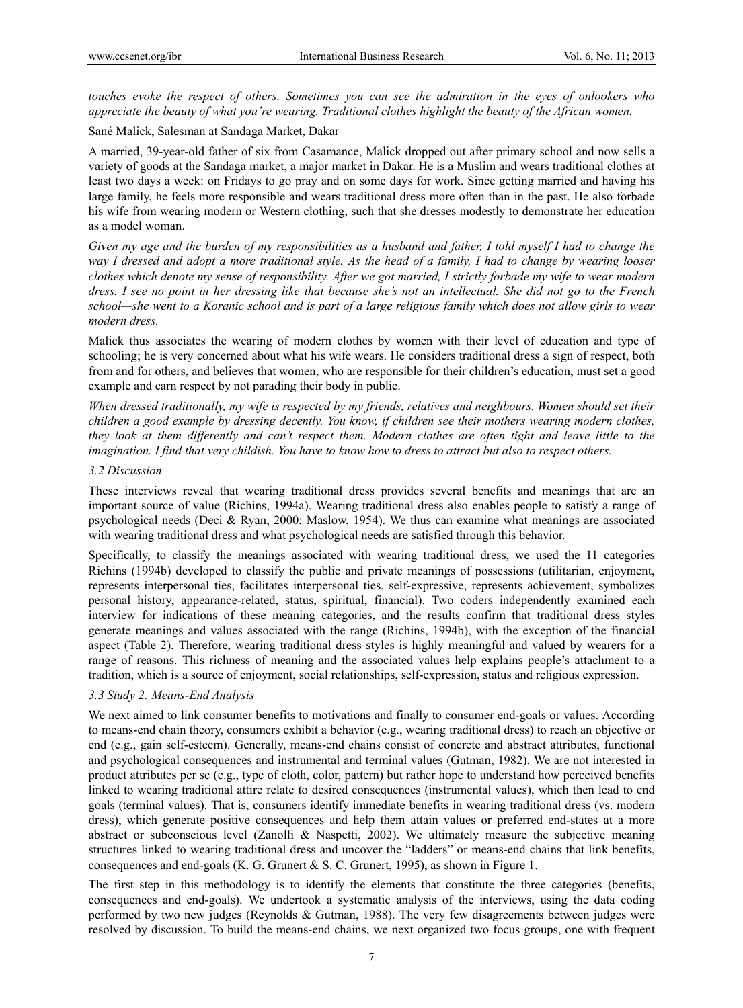*touches evoke the respect of others. Sometimes you can see the admiration in the eyes of onlookers who appreciate the beauty of what you're wearing. Traditional clothes highlight the beauty of the African women.* 

Sané Malick, Salesman at Sandaga Market, Dakar

A married, 39-year-old father of six from Casamance, Malick dropped out after primary school and now sells a variety of goods at the Sandaga market, a major market in Dakar. He is a Muslim and wears traditional clothes at least two days a week: on Fridays to go pray and on some days for work. Since getting married and having his large family, he feels more responsible and wears traditional dress more often than in the past. He also forbade his wife from wearing modern or Western clothing, such that she dresses modestly to demonstrate her education as a model woman.

*Given my age and the burden of my responsibilities as a husband and father, I told myself I had to change the way I dressed and adopt a more traditional style. As the head of a family, I had to change by wearing looser clothes which denote my sense of responsibility. After we got married, I strictly forbade my wife to wear modern dress. I see no point in her dressing like that because she's not an intellectual. She did not go to the French school—she went to a Koranic school and is part of a large religious family which does not allow girls to wear modern dress.* 

Malick thus associates the wearing of modern clothes by women with their level of education and type of schooling; he is very concerned about what his wife wears. He considers traditional dress a sign of respect, both from and for others, and believes that women, who are responsible for their children's education, must set a good example and earn respect by not parading their body in public.

*When dressed traditionally, my wife is respected by my friends, relatives and neighbours. Women should set their children a good example by dressing decently. You know, if children see their mothers wearing modern clothes, they look at them differently and can't respect them. Modern clothes are often tight and leave little to the imagination. I find that very childish. You have to know how to dress to attract but also to respect others.* 

## *3.2 Discussion*

These interviews reveal that wearing traditional dress provides several benefits and meanings that are an important source of value (Richins, 1994a). Wearing traditional dress also enables people to satisfy a range of psychological needs (Deci & Ryan, 2000; Maslow, 1954). We thus can examine what meanings are associated with wearing traditional dress and what psychological needs are satisfied through this behavior.

Specifically, to classify the meanings associated with wearing traditional dress, we used the 11 categories Richins (1994b) developed to classify the public and private meanings of possessions (utilitarian, enjoyment, represents interpersonal ties, facilitates interpersonal ties, self-expressive, represents achievement, symbolizes personal history, appearance-related, status, spiritual, financial). Two coders independently examined each interview for indications of these meaning categories, and the results confirm that traditional dress styles generate meanings and values associated with the range (Richins, 1994b), with the exception of the financial aspect (Table 2). Therefore, wearing traditional dress styles is highly meaningful and valued by wearers for a range of reasons. This richness of meaning and the associated values help explains people's attachment to a tradition, which is a source of enjoyment, social relationships, self-expression, status and religious expression.

## *3.3 Study 2: Means-End Analysis*

We next aimed to link consumer benefits to motivations and finally to consumer end-goals or values. According to means-end chain theory, consumers exhibit a behavior (e.g., wearing traditional dress) to reach an objective or end (e.g., gain self-esteem). Generally, means-end chains consist of concrete and abstract attributes, functional and psychological consequences and instrumental and terminal values (Gutman, 1982). We are not interested in product attributes per se (e.g., type of cloth, color, pattern) but rather hope to understand how perceived benefits linked to wearing traditional attire relate to desired consequences (instrumental values), which then lead to end goals (terminal values). That is, consumers identify immediate benefits in wearing traditional dress (vs. modern dress), which generate positive consequences and help them attain values or preferred end-states at a more abstract or subconscious level (Zanolli & Naspetti, 2002). We ultimately measure the subjective meaning structures linked to wearing traditional dress and uncover the "ladders" or means-end chains that link benefits, consequences and end-goals (K. G. Grunert & S. C. Grunert, 1995), as shown in Figure 1.

The first step in this methodology is to identify the elements that constitute the three categories (benefits, consequences and end-goals). We undertook a systematic analysis of the interviews, using the data coding performed by two new judges (Reynolds & Gutman, 1988). The very few disagreements between judges were resolved by discussion. To build the means-end chains, we next organized two focus groups, one with frequent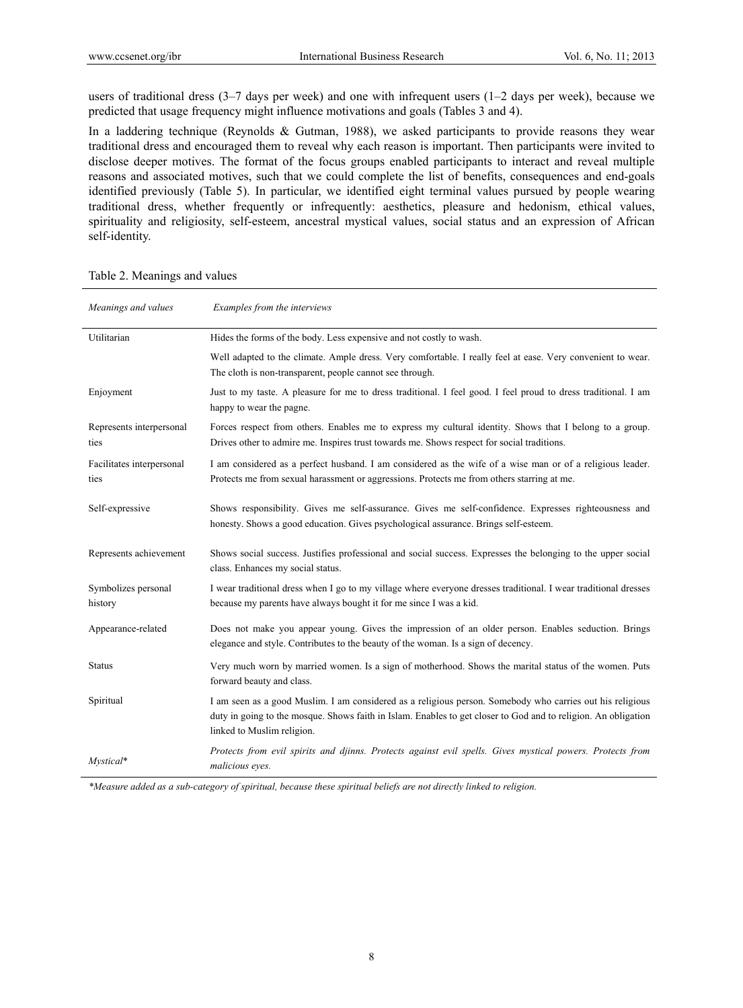users of traditional dress (3–7 days per week) and one with infrequent users (1–2 days per week), because we predicted that usage frequency might influence motivations and goals (Tables 3 and 4).

In a laddering technique (Reynolds & Gutman, 1988), we asked participants to provide reasons they wear traditional dress and encouraged them to reveal why each reason is important. Then participants were invited to disclose deeper motives. The format of the focus groups enabled participants to interact and reveal multiple reasons and associated motives, such that we could complete the list of benefits, consequences and end-goals identified previously (Table 5). In particular, we identified eight terminal values pursued by people wearing traditional dress, whether frequently or infrequently: aesthetics, pleasure and hedonism, ethical values, spirituality and religiosity, self-esteem, ancestral mystical values, social status and an expression of African self-identity.

## Table 2. Meanings and values

| Meanings and values               | Examples from the interviews                                                                                                                                                                                                                              |
|-----------------------------------|-----------------------------------------------------------------------------------------------------------------------------------------------------------------------------------------------------------------------------------------------------------|
| Utilitarian                       | Hides the forms of the body. Less expensive and not costly to wash.                                                                                                                                                                                       |
|                                   | Well adapted to the climate. Ample dress. Very comfortable. I really feel at ease. Very convenient to wear.<br>The cloth is non-transparent, people cannot see through.                                                                                   |
| Enjoyment                         | Just to my taste. A pleasure for me to dress traditional. I feel good. I feel proud to dress traditional. I am<br>happy to wear the pagne.                                                                                                                |
| Represents interpersonal<br>ties  | Forces respect from others. Enables me to express my cultural identity. Shows that I belong to a group.<br>Drives other to admire me. Inspires trust towards me. Shows respect for social traditions.                                                     |
| Facilitates interpersonal<br>ties | I am considered as a perfect husband. I am considered as the wife of a wise man or of a religious leader.<br>Protects me from sexual harassment or aggressions. Protects me from others starring at me.                                                   |
| Self-expressive                   | Shows responsibility. Gives me self-assurance. Gives me self-confidence. Expresses righteousness and<br>honesty. Shows a good education. Gives psychological assurance. Brings self-esteem.                                                               |
| Represents achievement            | Shows social success. Justifies professional and social success. Expresses the belonging to the upper social<br>class. Enhances my social status.                                                                                                         |
| Symbolizes personal<br>history    | I wear traditional dress when I go to my village where everyone dresses traditional. I wear traditional dresses<br>because my parents have always bought it for me since I was a kid.                                                                     |
| Appearance-related                | Does not make you appear young. Gives the impression of an older person. Enables seduction. Brings<br>elegance and style. Contributes to the beauty of the woman. Is a sign of decency.                                                                   |
| <b>Status</b>                     | Very much worn by married women. Is a sign of motherhood. Shows the marital status of the women. Puts<br>forward beauty and class.                                                                                                                        |
| Spiritual                         | I am seen as a good Muslim. I am considered as a religious person. Somebody who carries out his religious<br>duty in going to the mosque. Shows faith in Islam. Enables to get closer to God and to religion. An obligation<br>linked to Muslim religion. |
| Mystical*                         | Protects from evil spirits and djinns. Protects against evil spells. Gives mystical powers. Protects from<br>malicious eyes.                                                                                                                              |

*\*Measure added as a sub-category of spiritual, because these spiritual beliefs are not directly linked to religion.*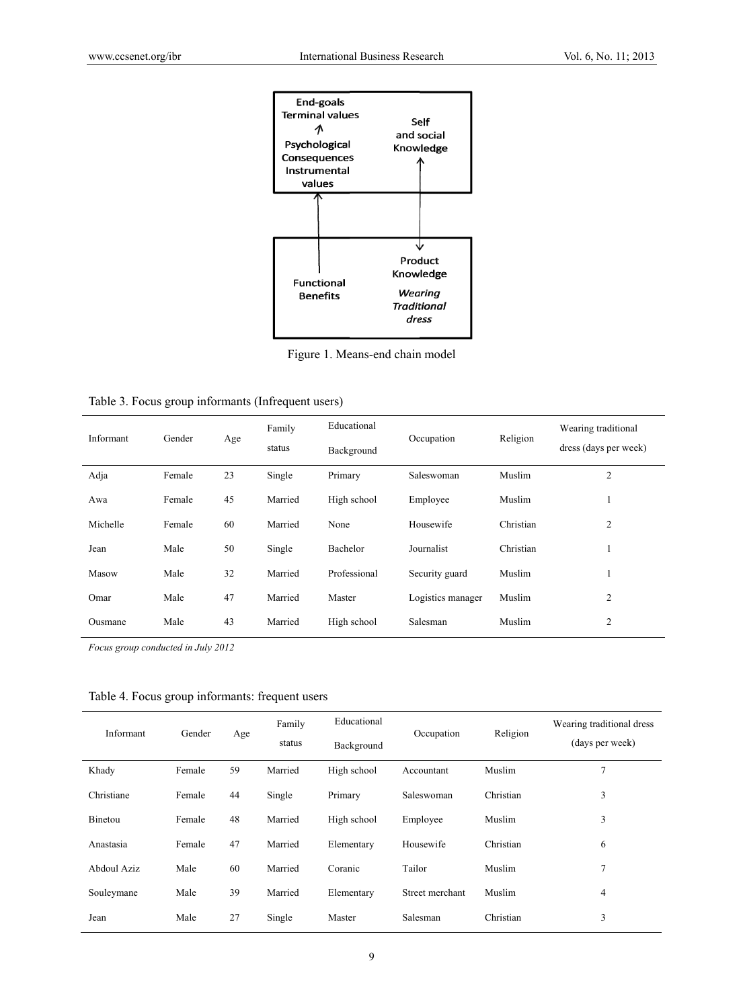

Figure 1. Means-end chain model

| Table 3. Focus group informants (Infrequent users) |  |  |  |  |  |
|----------------------------------------------------|--|--|--|--|--|
|----------------------------------------------------|--|--|--|--|--|

| Informant | Gender | Age | Family<br>status | Educational<br>Background | Occupation        | Religion  | Wearing traditional<br>dress (days per week) |
|-----------|--------|-----|------------------|---------------------------|-------------------|-----------|----------------------------------------------|
| Adja      | Female | 23  | Single           | Saleswoman<br>Primary     |                   | Muslim    | $\overline{2}$                               |
| Awa       | Female | 45  | Married          | High school               | Employee          | Muslim    |                                              |
| Michelle  | Female | 60  | Married          | None                      | Housewife         | Christian | $\overline{2}$                               |
| Jean      | Male   | 50  | Single           | Bachelor                  | Journalist        | Christian | ш                                            |
| Masow     | Male   | 32  | Married          | Professional              | Security guard    | Muslim    |                                              |
| Omar      | Male   | 47  | Married          | Master                    | Logistics manager | Muslim    | $\overline{c}$                               |
| Ousmane   | Male   | 43  | Married          | High school               | Salesman          | Muslim    | $\overline{2}$                               |

*Focus group conducted in July 2012* 

#### Table 4. Focus group informants: frequent users

| Informant   | Gender | Age | Family<br>status | Educational<br>Occupation<br>Background |                         | Religion  | Wearing traditional dress<br>(days per week) |
|-------------|--------|-----|------------------|-----------------------------------------|-------------------------|-----------|----------------------------------------------|
| Khady       | Female | 59  | Married          | High school                             | Accountant              | Muslim    | $\overline{ }$                               |
| Christiane  | Female | 44  | Single           | Primary                                 | Saleswoman<br>Christian |           | 3                                            |
| Binetou     | Female | 48  | Married          | High school                             | Employee                | Muslim    | 3                                            |
| Anastasia   | Female | 47  | Married          | Elementary                              | Housewife               | Christian | 6                                            |
| Abdoul Aziz | Male   | 60  | Married          | Coranic                                 | Tailor                  | Muslim    | 7                                            |
| Souleymane  | Male   | 39  | Married          | Elementary                              | Street merchant         | Muslim    | $\overline{4}$                               |
| Jean        | Male   | 27  | Single           | Master                                  | Salesman                | Christian | 3                                            |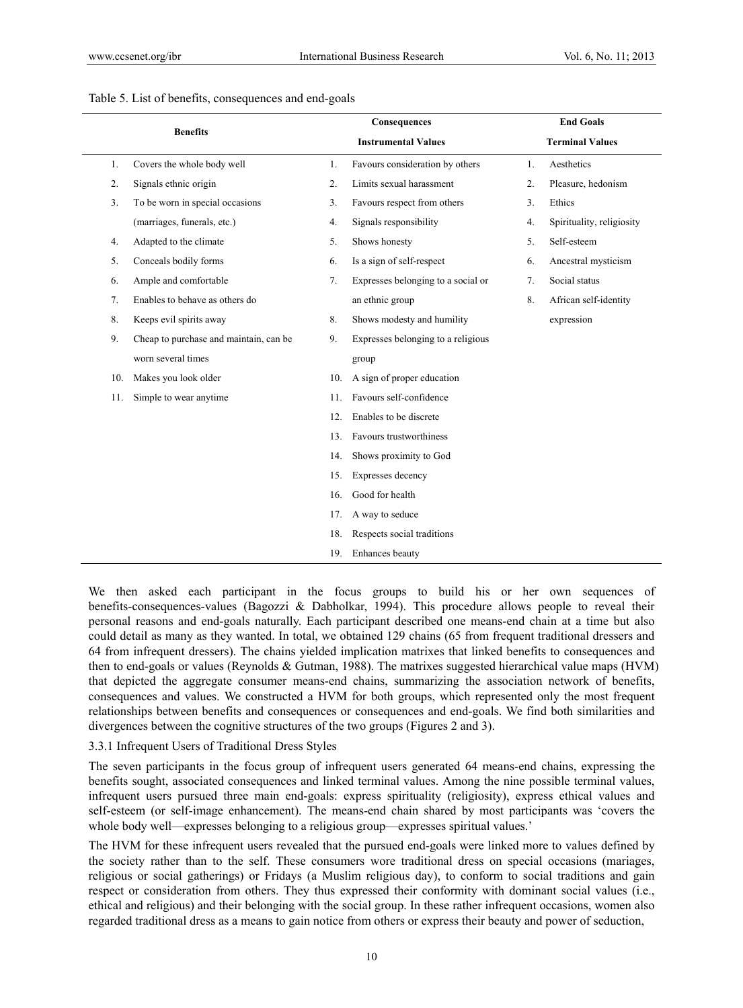| <b>Benefits</b>  |                                        | Consequences               |                                    |                  | <b>End Goals</b>          |  |  |
|------------------|----------------------------------------|----------------------------|------------------------------------|------------------|---------------------------|--|--|
|                  |                                        | <b>Instrumental Values</b> |                                    |                  | <b>Terminal Values</b>    |  |  |
| 1.               | Covers the whole body well             | 1.                         | Favours consideration by others    | 1.               | Aesthetics                |  |  |
| $\overline{2}$ . | Signals ethnic origin                  | 2.                         | Limits sexual harassment           | $\overline{2}$ . | Pleasure, hedonism        |  |  |
| 3.               | To be worn in special occasions        | 3 <sub>1</sub>             | Favours respect from others        | 3 <sub>1</sub>   | Ethics                    |  |  |
|                  | (marriages, funerals, etc.)            | 4.                         | Signals responsibility             | 4.               | Spirituality, religiosity |  |  |
| 4.               | Adapted to the climate                 | 5.                         | Shows honesty                      | 5.               | Self-esteem               |  |  |
| 5.               | Conceals bodily forms                  | 6.                         | Is a sign of self-respect          | 6.               | Ancestral mysticism       |  |  |
| 6.               | Ample and comfortable                  | 7.                         | Expresses belonging to a social or | 7.               | Social status             |  |  |
| 7 <sub>1</sub>   | Enables to behave as others do         |                            | an ethnic group                    | 8.               | African self-identity     |  |  |
| 8.               | Keeps evil spirits away                | 8.                         | Shows modesty and humility         |                  | expression                |  |  |
| 9.               | Cheap to purchase and maintain, can be | 9.                         | Expresses belonging to a religious |                  |                           |  |  |
|                  | worn several times                     |                            | group                              |                  |                           |  |  |
| 10.              | Makes you look older                   | 10.                        | A sign of proper education         |                  |                           |  |  |
| 11.              | Simple to wear anytime                 | 11.                        | Favours self-confidence            |                  |                           |  |  |
|                  |                                        | 12.                        | Enables to be discrete             |                  |                           |  |  |
|                  |                                        | 13.                        | Favours trustworthiness            |                  |                           |  |  |
|                  |                                        | 14.                        | Shows proximity to God             |                  |                           |  |  |
|                  |                                        | 15.                        | Expresses decency                  |                  |                           |  |  |
|                  |                                        | 16.                        | Good for health                    |                  |                           |  |  |
|                  |                                        | 17.                        | A way to seduce                    |                  |                           |  |  |
|                  |                                        | 18.                        | Respects social traditions         |                  |                           |  |  |
|                  |                                        | 19.                        | Enhances beauty                    |                  |                           |  |  |

### Table 5. List of benefits, consequences and end-goals

We then asked each participant in the focus groups to build his or her own sequences of benefits-consequences-values (Bagozzi & Dabholkar, 1994). This procedure allows people to reveal their personal reasons and end-goals naturally. Each participant described one means-end chain at a time but also could detail as many as they wanted. In total, we obtained 129 chains (65 from frequent traditional dressers and 64 from infrequent dressers). The chains yielded implication matrixes that linked benefits to consequences and then to end-goals or values (Reynolds & Gutman, 1988). The matrixes suggested hierarchical value maps (HVM) that depicted the aggregate consumer means-end chains, summarizing the association network of benefits, consequences and values. We constructed a HVM for both groups, which represented only the most frequent relationships between benefits and consequences or consequences and end-goals. We find both similarities and divergences between the cognitive structures of the two groups (Figures 2 and 3).

#### 3.3.1 Infrequent Users of Traditional Dress Styles

The seven participants in the focus group of infrequent users generated 64 means-end chains, expressing the benefits sought, associated consequences and linked terminal values. Among the nine possible terminal values, infrequent users pursued three main end-goals: express spirituality (religiosity), express ethical values and self-esteem (or self-image enhancement). The means-end chain shared by most participants was 'covers the whole body well—expresses belonging to a religious group—expresses spiritual values.'

The HVM for these infrequent users revealed that the pursued end-goals were linked more to values defined by the society rather than to the self. These consumers wore traditional dress on special occasions (mariages, religious or social gatherings) or Fridays (a Muslim religious day), to conform to social traditions and gain respect or consideration from others. They thus expressed their conformity with dominant social values (i.e., ethical and religious) and their belonging with the social group. In these rather infrequent occasions, women also regarded traditional dress as a means to gain notice from others or express their beauty and power of seduction,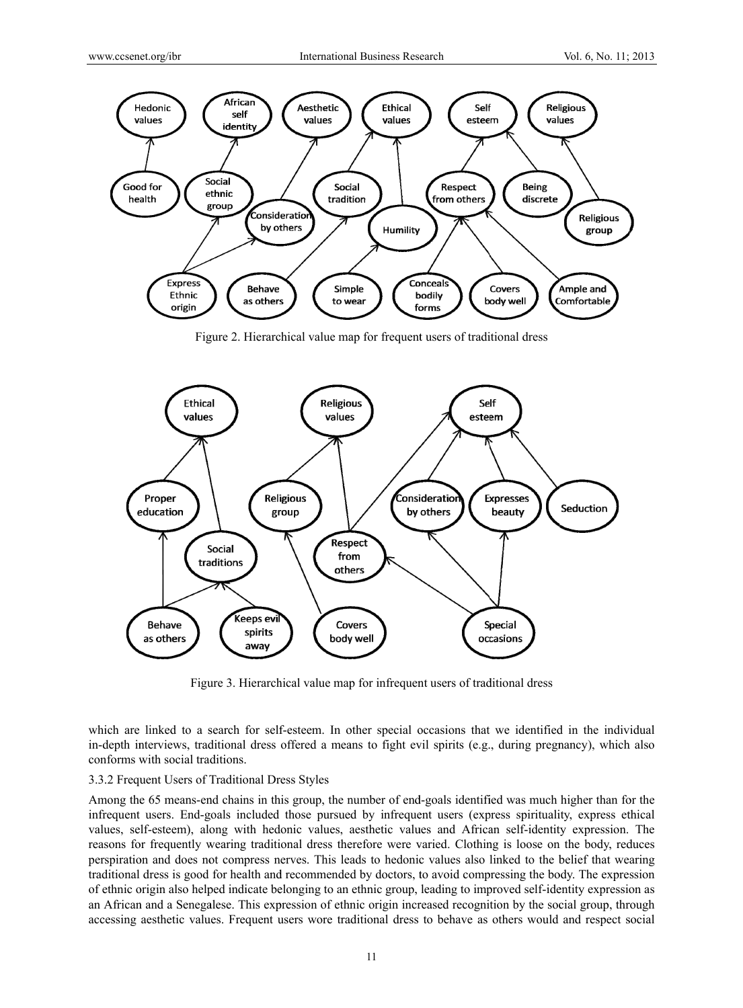

Figure 2. Hierarchical value map for frequent users of traditional dress



Figure 3. Hierarchical value map for infrequent users of traditional dress

which are linked to a search for self-esteem. In other special occasions that we identified in the individual in-depth interviews, traditional dress offered a means to fight evil spirits (e.g., during pregnancy), which also conforms w with social tra ditions.

#### 3.3.2 Frequent Users of Traditional Dress Styles

Among the 65 means-end chains in this group, the number of end-goals identified was much higher than for the infrequent users. End-goals included those pursued by infrequent users (express spirituality, express ethical values, self-esteem), along with hedonic values, aesthetic values and African self-identity expression. The reasons for frequently wearing traditional dress therefore were varied. Clothing is loose on the body, reduces perspiration and does not compress nerves. This leads to hedonic values also linked to the belief that wearing traditional dress is good for health and recommended by doctors, to avoid compressing the body. The expression of ethnic origin also helped indicate belonging to an ethnic group, leading to improved self-identity expression as an African and a Senegalese. This expression of ethnic origin increased recognition by the social group, through accessing aesthetic values. Frequent users wore traditional dress to behave as others would and respect social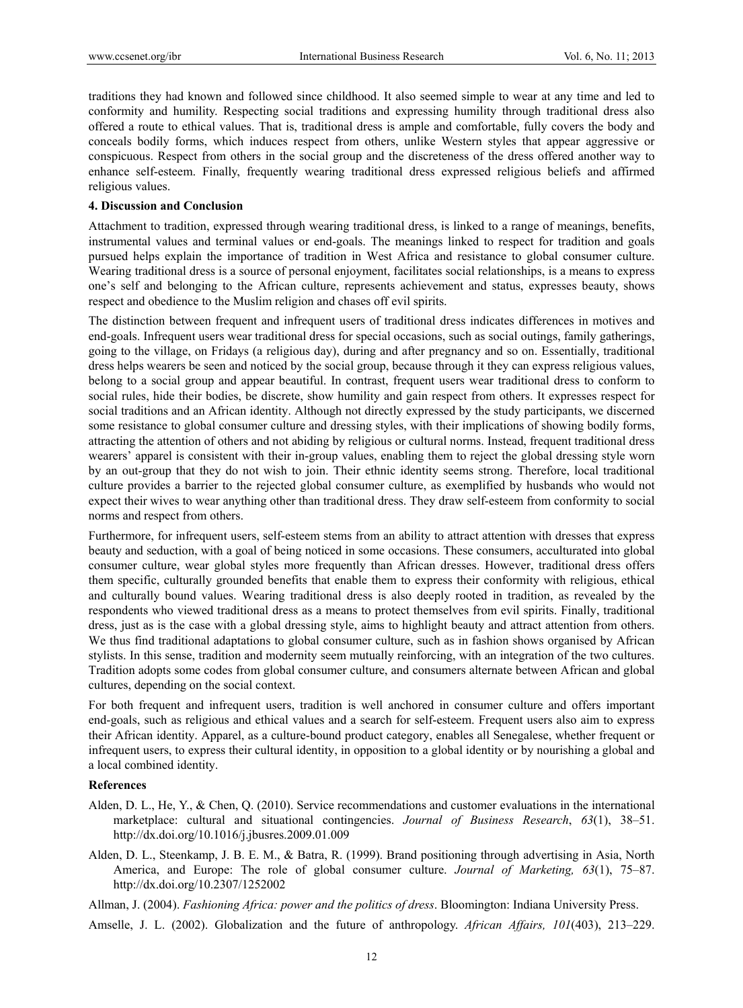traditions they had known and followed since childhood. It also seemed simple to wear at any time and led to conformity and humility. Respecting social traditions and expressing humility through traditional dress also offered a route to ethical values. That is, traditional dress is ample and comfortable, fully covers the body and conceals bodily forms, which induces respect from others, unlike Western styles that appear aggressive or conspicuous. Respect from others in the social group and the discreteness of the dress offered another way to enhance self-esteem. Finally, frequently wearing traditional dress expressed religious beliefs and affirmed religious values.

## **4. Discussion and Conclusion**

Attachment to tradition, expressed through wearing traditional dress, is linked to a range of meanings, benefits, instrumental values and terminal values or end-goals. The meanings linked to respect for tradition and goals pursued helps explain the importance of tradition in West Africa and resistance to global consumer culture. Wearing traditional dress is a source of personal enjoyment, facilitates social relationships, is a means to express one's self and belonging to the African culture, represents achievement and status, expresses beauty, shows respect and obedience to the Muslim religion and chases off evil spirits.

The distinction between frequent and infrequent users of traditional dress indicates differences in motives and end-goals. Infrequent users wear traditional dress for special occasions, such as social outings, family gatherings, going to the village, on Fridays (a religious day), during and after pregnancy and so on. Essentially, traditional dress helps wearers be seen and noticed by the social group, because through it they can express religious values, belong to a social group and appear beautiful. In contrast, frequent users wear traditional dress to conform to social rules, hide their bodies, be discrete, show humility and gain respect from others. It expresses respect for social traditions and an African identity. Although not directly expressed by the study participants, we discerned some resistance to global consumer culture and dressing styles, with their implications of showing bodily forms, attracting the attention of others and not abiding by religious or cultural norms. Instead, frequent traditional dress wearers' apparel is consistent with their in-group values, enabling them to reject the global dressing style worn by an out-group that they do not wish to join. Their ethnic identity seems strong. Therefore, local traditional culture provides a barrier to the rejected global consumer culture, as exemplified by husbands who would not expect their wives to wear anything other than traditional dress. They draw self-esteem from conformity to social norms and respect from others.

Furthermore, for infrequent users, self-esteem stems from an ability to attract attention with dresses that express beauty and seduction, with a goal of being noticed in some occasions. These consumers, acculturated into global consumer culture, wear global styles more frequently than African dresses. However, traditional dress offers them specific, culturally grounded benefits that enable them to express their conformity with religious, ethical and culturally bound values. Wearing traditional dress is also deeply rooted in tradition, as revealed by the respondents who viewed traditional dress as a means to protect themselves from evil spirits. Finally, traditional dress, just as is the case with a global dressing style, aims to highlight beauty and attract attention from others. We thus find traditional adaptations to global consumer culture, such as in fashion shows organised by African stylists. In this sense, tradition and modernity seem mutually reinforcing, with an integration of the two cultures. Tradition adopts some codes from global consumer culture, and consumers alternate between African and global cultures, depending on the social context.

For both frequent and infrequent users, tradition is well anchored in consumer culture and offers important end-goals, such as religious and ethical values and a search for self-esteem. Frequent users also aim to express their African identity. Apparel, as a culture-bound product category, enables all Senegalese, whether frequent or infrequent users, to express their cultural identity, in opposition to a global identity or by nourishing a global and a local combined identity.

#### **References**

- Alden, D. L., He, Y., & Chen, Q. (2010). Service recommendations and customer evaluations in the international marketplace: cultural and situational contingencies. *Journal of Business Research*, *63*(1), 38–51. http://dx.doi.org/10.1016/j.jbusres.2009.01.009
- Alden, D. L., Steenkamp, J. B. E. M., & Batra, R. (1999). Brand positioning through advertising in Asia, North America, and Europe: The role of global consumer culture. *Journal of Marketing, 63*(1), 75–87. http://dx.doi.org/10.2307/1252002

Allman, J. (2004). *Fashioning Africa: power and the politics of dress*. Bloomington: Indiana University Press.

Amselle, J. L. (2002). Globalization and the future of anthropology. *African Affairs, 101*(403), 213–229.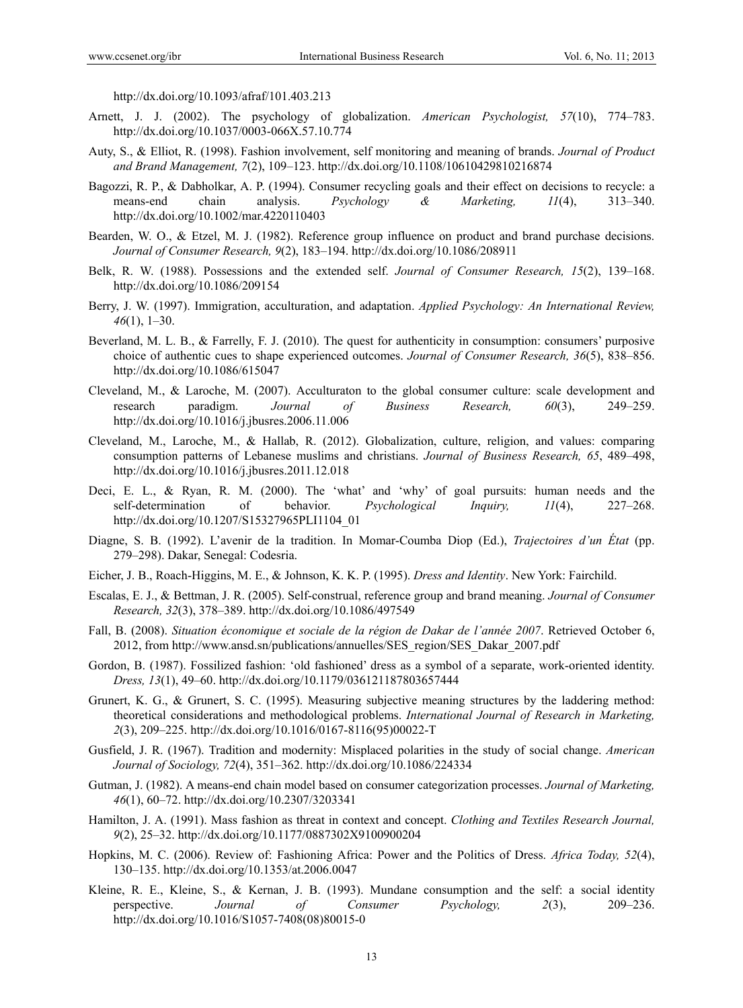http://dx.doi.org/10.1093/afraf/101.403.213

- Arnett, J. J. (2002). The psychology of globalization. *American Psychologist, 57*(10), 774–783. http://dx.doi.org/10.1037/0003-066X.57.10.774
- Auty, S., & Elliot, R. (1998). Fashion involvement, self monitoring and meaning of brands. *Journal of Product and Brand Management, 7*(2), 109–123. http://dx.doi.org/10.1108/10610429810216874
- Bagozzi, R. P., & Dabholkar, A. P. (1994). Consumer recycling goals and their effect on decisions to recycle: a means-end chain analysis. *Psychology & Marketing, 11*(4), 313–340. http://dx.doi.org/10.1002/mar.4220110403
- Bearden, W. O., & Etzel, M. J. (1982). Reference group influence on product and brand purchase decisions. *Journal of Consumer Research, 9*(2), 183–194. http://dx.doi.org/10.1086/208911
- Belk, R. W. (1988). Possessions and the extended self. *Journal of Consumer Research, 15*(2), 139–168. http://dx.doi.org/10.1086/209154
- Berry, J. W. (1997). Immigration, acculturation, and adaptation. *Applied Psychology: An International Review, 46*(1), 1–30.
- Beverland, M. L. B., & Farrelly, F. J. (2010). The quest for authenticity in consumption: consumers' purposive choice of authentic cues to shape experienced outcomes. *Journal of Consumer Research, 36*(5), 838–856. http://dx.doi.org/10.1086/615047
- Cleveland, M., & Laroche, M. (2007). Acculturaton to the global consumer culture: scale development and research paradigm. *Journal of Business Research, 60*(3), 249–259. http://dx.doi.org/10.1016/j.jbusres.2006.11.006
- Cleveland, M., Laroche, M., & Hallab, R. (2012). Globalization, culture, religion, and values: comparing consumption patterns of Lebanese muslims and christians. *Journal of Business Research, 65*, 489–498, http://dx.doi.org/10.1016/j.jbusres.2011.12.018
- Deci, E. L., & Ryan, R. M. (2000). The 'what' and 'why' of goal pursuits: human needs and the self-determination of behavior. *Psychological Inquiry, 11*(4), 227–268. http://dx.doi.org/10.1207/S15327965PLI1104\_01
- Diagne, S. B. (1992). L'avenir de la tradition. In Momar-Coumba Diop (Ed.), *Trajectoires d'un État* (pp. 279–298). Dakar, Senegal: Codesria.
- Eicher, J. B., Roach-Higgins, M. E., & Johnson, K. K. P. (1995). *Dress and Identity*. New York: Fairchild.
- Escalas, E. J., & Bettman, J. R. (2005). Self-construal, reference group and brand meaning. *Journal of Consumer Research, 32*(3), 378–389. http://dx.doi.org/10.1086/497549
- Fall, B. (2008). *Situation économique et sociale de la région de Dakar de l'année 2007*. Retrieved October 6, 2012, from http://www.ansd.sn/publications/annuelles/SES\_region/SES\_Dakar\_2007.pdf
- Gordon, B. (1987). Fossilized fashion: 'old fashioned' dress as a symbol of a separate, work-oriented identity. *Dress, 13*(1), 49–60. http://dx.doi.org/10.1179/036121187803657444
- Grunert, K. G., & Grunert, S. C. (1995). Measuring subjective meaning structures by the laddering method: theoretical considerations and methodological problems. *International Journal of Research in Marketing, 2*(3), 209–225. http://dx.doi.org/10.1016/0167-8116(95)00022-T
- Gusfield, J. R. (1967). Tradition and modernity: Misplaced polarities in the study of social change. *American Journal of Sociology, 72*(4), 351–362. http://dx.doi.org/10.1086/224334
- Gutman, J. (1982). A means-end chain model based on consumer categorization processes. *Journal of Marketing, 46*(1), 60–72. http://dx.doi.org/10.2307/3203341
- Hamilton, J. A. (1991). Mass fashion as threat in context and concept. *Clothing and Textiles Research Journal, 9*(2), 25–32. http://dx.doi.org/10.1177/0887302X9100900204
- Hopkins, M. C. (2006). Review of: Fashioning Africa: Power and the Politics of Dress. *Africa Today, 52*(4), 130–135. http://dx.doi.org/10.1353/at.2006.0047
- Kleine, R. E., Kleine, S., & Kernan, J. B. (1993). Mundane consumption and the self: a social identity perspective. *Journal of Consumer Psychology, 2*(3), 209–236. http://dx.doi.org/10.1016/S1057-7408(08)80015-0